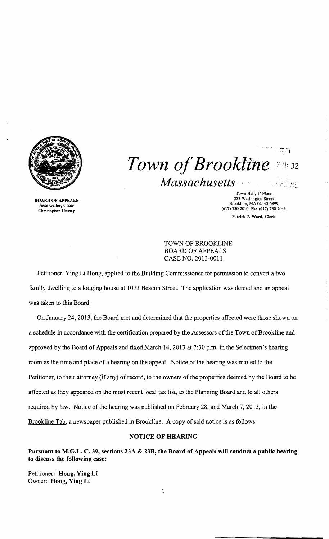

 $" \dot{=}$ *Town of Brookline*  $\frac{11}{22}$  ii. 32 *Massachusetts* ..~ LI.\! t

BOARD OF APPEALS Jesse Geller, Chair Christopher Hussey

Town Hall, 1<sup>ª</sup> Floor 333 Washington Street Brookline, MA 02445-6899 (617) 730-2010 Fax (617) 730-2043 Patrick J, Ward, Clerk

## TOWN OF BROOKLINE BOARD OF APPEALS CASE NO. 2013-0011

Petitioner, Ying Li Hong, applied to the Building Commissioner for permission to convert a two family dwelling to a lodging house at 1073 Beacon Street. The application was denied and an appeal was taken to this Board.

On January 24,2013, the Board met and determined that the properties affected were those shown on a schedule in accordance with the certification prepared by the Assessors of the Town of Brookline and approved by the Board of Appeals and fixed March 14, 2013 at 7:30 p.m. in the Selectmen's hearing room as the time and place of a hearing on the appeal. Notice of the hearing was mailed to the Petitioner, to their attorney (if any) of record, to the owners of the properties deemed by the Board to be affected as they appeared on the most recent local tax list, to the Planning Board and to all others required by law. Notice of the hearing was published on February 28, and March 7, 2013, in the Brookline Tab, a newspaper published in Brookline. A copy of said notice is as follows:

## NOTICE OF HEARING

Pursuant to M.G.L. C. 39, sections 23A & 23B, the Board of Appeals will conduct a public hearing to discuss the following case:

Petitioner: Hong, Ying Li Owner: Hong, Ying Li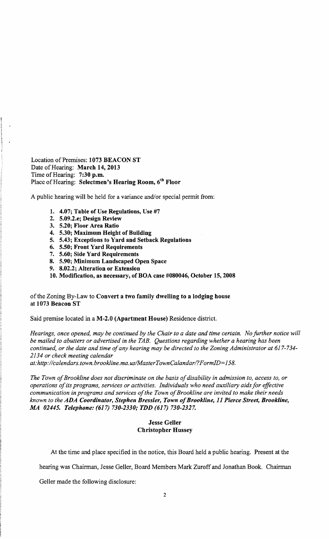Location of Premises: 1073 BEACON ST Date of Hearing: March 14, 2013 Time of Hearing: 7:30 p.m. Place of Hearing: Selectmen's Hearing Room, 6<sup>th</sup> Floor

A public hearing will be held for a variance and/or special permit from:

- 1. 4.07; Table of Use Regulations, Use #7
- 2. 5.09.2.e; Design Review
- 3. 5.20; Floor Area Ratio
- 4. 5.30; Maximum Height of Building
- 5. 5.43; Exceptions to Yard and Setback Regulations
- 6. 5.50; Front Yard Requirements
- 7. 5.60; Side Yard Requirements
- 8. 5.90; Minimum Landscaped Open Space
- 9. 8.02.2; Alteration or Extension

10. Modification, as necessary, of BOA case #080046, October 15,2008

## of the Zoning By-Law to Convert a two family dwelling to a lodging house at 1073 Beacon ST

Said premise located in a M-2.0 (Apartment House) Residence district.

*Hearings, once opened, may be continued by the Chair to a date and time certain. No further notice will be mailed to abutters or advertised in the TAB. Questions regarding whether a hearing has been continued, or the date and time ofany hearing may be directed to the Zoning Administrator at 617-734 2134 or check meeting calendar* 

*at:http;l/calendars. town. brookline. ma.uslMasterTownCaland arl?FormID=158.* 

The Town of Brookline does not discriminate on the basis of disability in admission to, access to, or *operations ofits programs, services or activities. Individuals who need auxiliary aids for effective*  communication in programs and services of the Town of Brookline are invited to make their needs *known to the ADA Coordinator, Stephen Bressler, Town ofBrookline,* 11 *Pierce Street, Brookline, MA 02445. Telephone:* (617) *730-2330; TDD* (617) *730-2327.* 

## Jesse Geller Christopher Hussey

At the time and place specified in the notice, this Board held a public hearing. Present at the

hearing was Chairman, Jesse Geller, Board Members Mark Zuroffand Jonathan Book. Chairman

Geller made the following disclosure: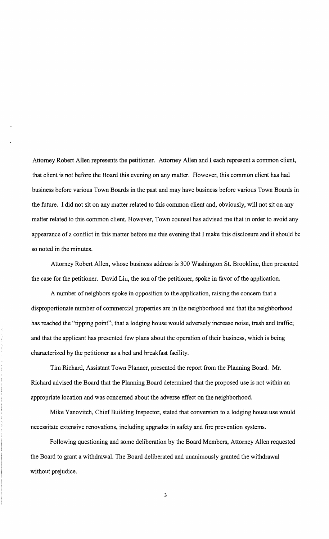Attorney Robert Allen represents the petitioner. Attorney Allen and I each represent a common client, that client is not before the Board this evening on any matter. However, this common client has had business before various Town Boards in the past and may have business before various Town Boards in the future. I did not sit on any matter related to this common client and, obviously, will not sit on any matter related to this common client. However, Town counsel has advised me that in order to avoid any appearance of a conflict in this matter before me this evening that I make this disclosure and it should be so noted in the minutes.

Attorney Robert Allen, whose business address is 300 Washington St. Brookline, then presented the case for the petitioner. David Liu, the son of the petitioner, spoke in favor of the application.

A number of neighbors spoke in opposition to the application, raising the concern that a disproportionate number of commercial properties are in the neighborhood and that the neighborhood has reached the "tipping point"; that a lodging house would adversely increase noise, trash and traffic; and that the applicant has presented few plans about the operation of their business, which is being characterized by the petitioner as a bed and breakfast facility.

Tim Richard, Assistant Town Planner, presented the report from the Planning Board. Mr. Richard advised the Board that the Planning Board determined that the proposed use is not within an appropriate location and was concerned about the adverse effect on the neighborhood.

Mike Yanovitch, Chief Building Inspector, stated that conversion to a lodging house use would necessitate extensive renovations, including upgrades in safety and fire prevention systems.

Following questioning and some deliberation by the Board Members, Attorney Allen requested the Board to grant a withdrawal. The Board deliberated and unanimously granted the withdrawal without prejudice.

3